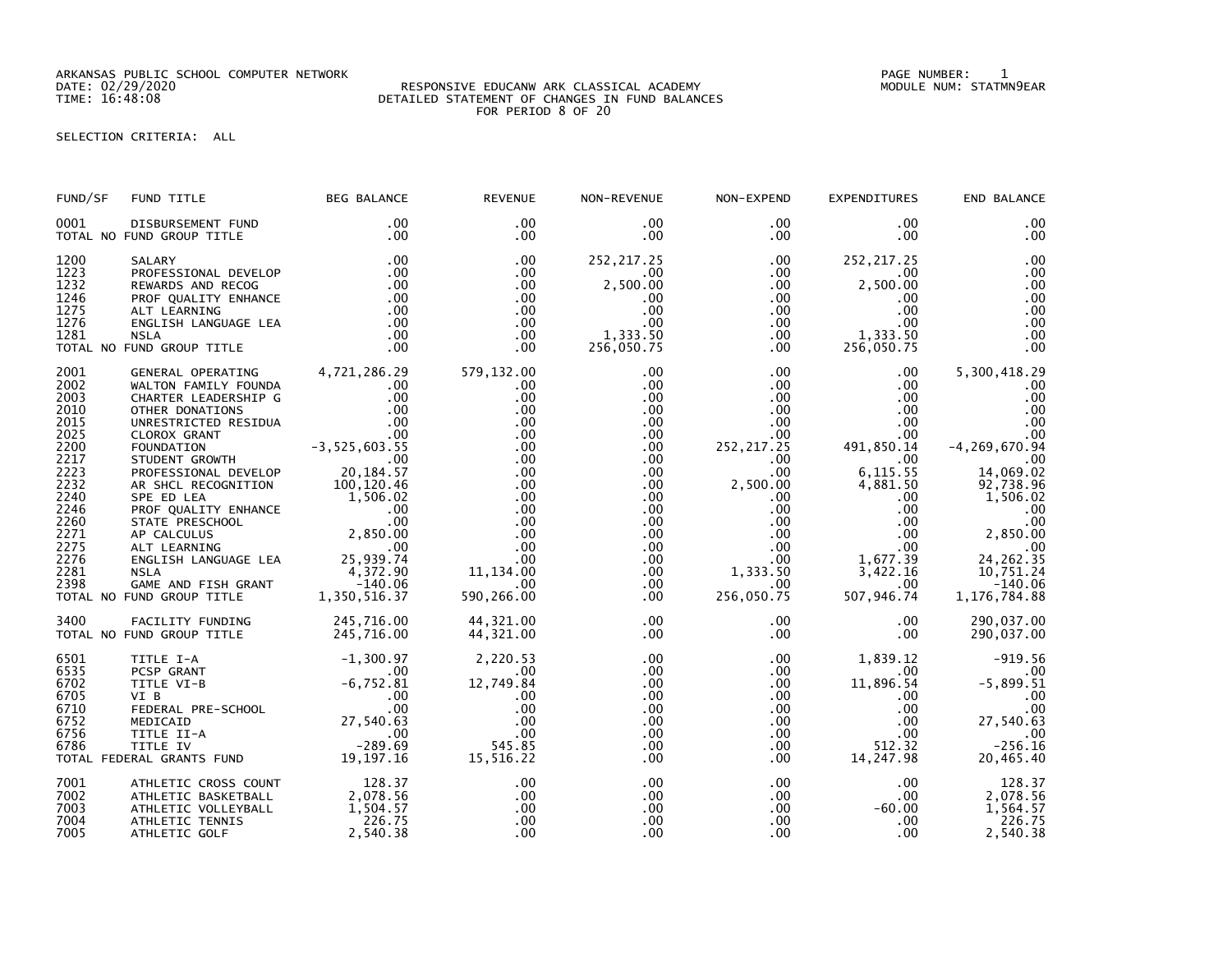ARKANSAS PUBLIC SCHOOL COMPUTER NETWORK PAGE NUMBER: 1

## DATE: 02/29/2020 RESPONSIVE EDUCANW ARK CLASSICAL ACADEMY MODULE NUM: STATMN9EAR TIME: 16:48:08 DETAILED STATEMENT OF CHANGES IN FUND BALANCES FOR PERIOD 8 OF 20

SELECTION CRITERIA: ALL

| FUND/SF                                                                                                                      | FUND TITLE                                                                                                                                                                                                                                                                                                                                                                                                              | BEG BALANCE                    | <b>REVENUE</b>                                                                                                                         | NON-REVENUE                                                                                                                                                                                                     | NON-EXPEND                                                                                                                                                  | EXPENDITURES                                                                                                                                                                                                                                                                                                                    | <b>END BALANCE</b>                                                                                                                                                                |
|------------------------------------------------------------------------------------------------------------------------------|-------------------------------------------------------------------------------------------------------------------------------------------------------------------------------------------------------------------------------------------------------------------------------------------------------------------------------------------------------------------------------------------------------------------------|--------------------------------|----------------------------------------------------------------------------------------------------------------------------------------|-----------------------------------------------------------------------------------------------------------------------------------------------------------------------------------------------------------------|-------------------------------------------------------------------------------------------------------------------------------------------------------------|---------------------------------------------------------------------------------------------------------------------------------------------------------------------------------------------------------------------------------------------------------------------------------------------------------------------------------|-----------------------------------------------------------------------------------------------------------------------------------------------------------------------------------|
| 0001                                                                                                                         | DISBURSEMENT FUND<br>TOTAL NO FUND GROUP TITLE                                                                                                                                                                                                                                                                                                                                                                          | $.00 \,$<br>$.00 \,$           | $.00 \times$<br>.00.                                                                                                                   | $.00 \,$<br>$.00 \,$                                                                                                                                                                                            | $.00 \,$<br>$.00 \,$                                                                                                                                        | $.00 \,$<br>$.00 \,$                                                                                                                                                                                                                                                                                                            | .00<br>.00                                                                                                                                                                        |
| 1200<br>1223<br>1232<br>1246<br>1275<br>1276<br>1281                                                                         | SALARY<br>PROFESSIONAL DEVELOP<br>. <sup>00</sup><br>PROF QUALITY ENHANCE<br>ALT LEARNING .00<br>ENGLISH LANGUAGE LEA .00<br>NSLA .00<br>NSLA .00<br><b>NSLA</b><br>TOTAL NO FUND GROUP TITLE                                                                                                                                                                                                                           | .00<br>.00<br>.00<br>.00       | .00<br>.00.<br>.00<br>.00<br>.00<br>$.00 \,$<br>.00<br>.00                                                                             | 252, 217.25<br>$.00 \,$<br>2,500.00<br>$.00 \,$<br>.00<br>.00<br>1,333.50<br>256,050.75                                                                                                                         | $.00 \,$<br>$.00 \,$<br>$.00\,$                                                                                                                             | 252, 217.25<br>$.00 \,$<br>2,500.00<br>00.                                                                                                                                                                                                                                                                                      | .00<br>.00<br>.00<br>.00<br>.00<br>.00<br>.00<br>.00                                                                                                                              |
| 2001<br>2002<br>2003<br>2010<br>2015<br>2025<br>2200<br>2217<br>2223<br>2232<br>2240<br>2246<br>2260<br>2271<br>2275<br>2276 | GENERAL OPERATING 4,721,286.29<br>ENERAL OPERATING 4,721,286.29<br>WALTON FAMILY FOUNDA<br>CHARTER LEADERSHIP G 00<br>OTHER DONATIONS 000<br>UNRESTRICTED RESIDUA 00<br>CLOROX GRANT<br>FOUNDATION -3,525,603.55<br>FOUNDATION -3,525,603.55<br>FOUNDATION -3,525,603.55<br>FOUNDA<br>2281 NSLA - - - - - - - - - - - - - - - - 4,372.90<br>2398 GAME AND FISH GRANT - 140.06<br>TOTAL NO FUND GROUP TITLE 1,350,516.37 |                                | 579,132.00<br>.00<br>.00<br>.00<br>.00<br>.00<br>.00<br>.00<br>.00<br>.00<br>.00<br>.00<br>.00<br>.00<br>00.<br>11,134.00<br>00.266.01 | $.00 \,$<br>.00<br>.00<br>$.00 \,$<br>$.00 \,$<br>$.00 \,$<br>$.00 \,$<br>$.00 \,$<br>$.00 \,$<br>$.00 \,$<br>$.00 \,$<br>$.00 \,$<br>$.00 \,$<br>.00<br>.00 <sub>1</sub><br>.00<br>$.00 \,$<br>.00<br>$.00 \,$ | $.00\,$<br>.00<br>$.00\,$<br>ںں .<br>2 , 500 .00<br>00 .<br>$\frac{00}{00}$<br>.00<br>$.00\,$<br>$.00\,$<br>1,333.50<br>$.00 \cdot$<br>$00$ .<br>256,050.75 | $.00 \,$<br>.00<br>$252,217.25$<br>$252,217.25$<br>$250$<br>$252,217.25$<br>$250$<br>$250$<br>$251,255$<br>$250$<br>$251,255$<br>$250$<br>$251,255$<br>$250$<br>$251,255$<br>$250$<br>$251,255$<br>$250$<br>$252,217.25$<br>.00<br>6, 115.55<br>4,881.50<br>.00<br>.00<br>.00<br>1,677.39<br>3,422.16<br>$.00 \,$<br>507,946.74 | 5,300,418.29<br>.00<br>.00<br>.00<br>14,069.02<br>92,738.96<br>1,506.02<br>.00<br>.00<br>$0.00$ . $00$<br>2,850.00<br>.00<br>24, 262.35<br>10,751.24<br>$-140.06$<br>1,176,784.88 |
|                                                                                                                              | 3400 FACILITY FUNDING 245,716.00<br>TOTAL NO FUND GROUP TITLE 245,716.00                                                                                                                                                                                                                                                                                                                                                |                                | 44,321.00<br>44,321.00                                                                                                                 | $.00 \,$<br>$.00 \,$                                                                                                                                                                                            | .00<br>.00                                                                                                                                                  | $.00 \,$<br>$.00 \,$                                                                                                                                                                                                                                                                                                            | 290,037.00<br>290,037.00                                                                                                                                                          |
| 6501<br>6535                                                                                                                 | TITLE I-A<br>PCSP GRANT<br>6535 PCSP GRANT<br>6702 TITLE VI-B<br>6702 TITLE VI-B<br>6705 VI B<br>6705 VI B<br>6752 MEDICAID<br>6752 MEDICAID<br>6756 TITLE II-A<br>6786 TITLE IV -289.69<br>TOTAL FEDERAL GRANTS FUND<br>19,197.16                                                                                                                                                                                      | $-1,300.97$<br>$.00 \cdot$     | 2,220.53<br>$12,749$<br>.00<br>.00<br>.00<br>.00<br>.00<br>545.85<br>15,516.22                                                         | $.00 \,$<br>.00<br>.00<br>.00<br>.00<br>$.00 \,$<br>.00<br>$.00 \,$<br>.00.                                                                                                                                     | $.00\,$<br>$.00 \cdot$<br>$.00 \,$<br>$.00 \,$<br>$.00 \,$<br>$.00\,$<br>$.00\,$<br>$.00 \,$<br>$.00 \,$                                                    | 1,839.12<br>$.00\,$<br>11,896.54<br>$.00 \ \,$<br>$.00 \,$<br>$.00\,$<br>.00<br>512.32<br>14, 247.98                                                                                                                                                                                                                            | $-919.56$<br>.00<br>$-5,899.51$<br>.00<br>.00<br>27,540.63<br>.00<br>$-256.16$<br>20,465.40                                                                                       |
| 7001<br>7002<br>7003<br>7004<br>7005                                                                                         | ATHLETIC CROSS COUNT 128.37<br>ATHLETIC BASKETBALL 2,078.56<br>ATHLETIC VOLLEYBALL<br>ATHLETIC TENNIS<br>ATHLETIC GOLF                                                                                                                                                                                                                                                                                                  | 1,504.57<br>226.75<br>2,540.38 | .00<br>.00<br>.00<br>.00<br>.00                                                                                                        | .00<br>.00<br>.00<br>.00<br>$.00 \,$                                                                                                                                                                            | $.00\,$<br>.00<br>$.00 \,$<br>$.00 \,$                                                                                                                      | $.00 \,$<br>.00<br>00<br>$-60.00$<br>.00<br>$.00 \,$                                                                                                                                                                                                                                                                            | 128.37<br>2,078.56<br>1,564.57<br>226.75<br>2,540.38                                                                                                                              |